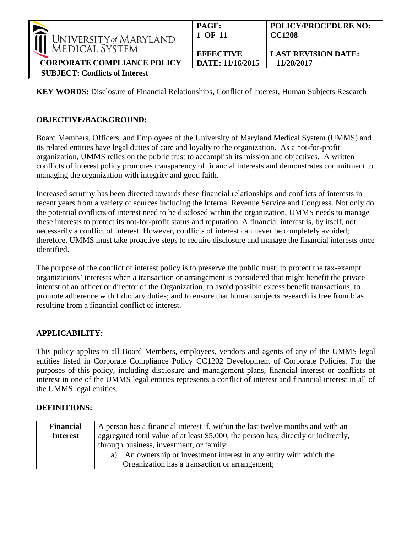| $\sim$<br>UNIVERSITY of MARYLAND<br><b>MEDICAL SYSTEM</b><br><b>CORPORATE COMPLIANCE POLICY</b> | PAGE:<br>1 OF 11                     | <b>POLICY/PROCEDURE NO:</b><br><b>CC1208</b> |
|-------------------------------------------------------------------------------------------------|--------------------------------------|----------------------------------------------|
|                                                                                                 | <b>EFFECTIVE</b><br>DATE: 11/16/2015 | <b>LAST REVISION DATE:</b><br>11/20/2017     |
| <b>SUBJECT: Conflicts of Interest</b>                                                           |                                      |                                              |

**KEY WORDS:** Disclosure of Financial Relationships, Conflict of Interest, Human Subjects Research

### **OBJECTIVE/BACKGROUND:**

Board Members, Officers, and Employees of the University of Maryland Medical System (UMMS) and its related entities have legal duties of care and loyalty to the organization. As a not-for-profit organization, UMMS relies on the public trust to accomplish its mission and objectives. A written conflicts of interest policy promotes transparency of financial interests and demonstrates commitment to managing the organization with integrity and good faith.

Increased scrutiny has been directed towards these financial relationships and conflicts of interests in recent years from a variety of sources including the Internal Revenue Service and Congress. Not only do the potential conflicts of interest need to be disclosed within the organization, UMMS needs to manage these interests to protect its not-for-profit status and reputation. A financial interest is, by itself, not necessarily a conflict of interest. However, conflicts of interest can never be completely avoided; therefore, UMMS must take proactive steps to require disclosure and manage the financial interests once identified.

The purpose of the conflict of interest policy is to preserve the public trust; to protect the tax-exempt organizations' interests when a transaction or arrangement is considered that might benefit the private interest of an officer or director of the Organization; to avoid possible excess benefit transactions; to promote adherence with fiduciary duties; and to ensure that human subjects research is free from bias resulting from a financial conflict of interest.

## **APPLICABILITY:**

This policy applies to all Board Members, employees, vendors and agents of any of the UMMS legal entities listed in Corporate Compliance Policy CC1202 Development of Corporate Policies. For the purposes of this policy, including disclosure and management plans, financial interest or conflicts of interest in one of the UMMS legal entities represents a conflict of interest and financial interest in all of the UMMS legal entities.

#### **DEFINITIONS:**

| <b>Financial</b><br><b>Interest</b> | A person has a financial interest if, within the last twelve months and with an<br>aggregated total value of at least \$5,000, the person has, directly or indirectly,<br>through business, investment, or family: |  |
|-------------------------------------|--------------------------------------------------------------------------------------------------------------------------------------------------------------------------------------------------------------------|--|
|                                     | An ownership or investment interest in any entity with which the<br>Organization has a transaction or arrangement;                                                                                                 |  |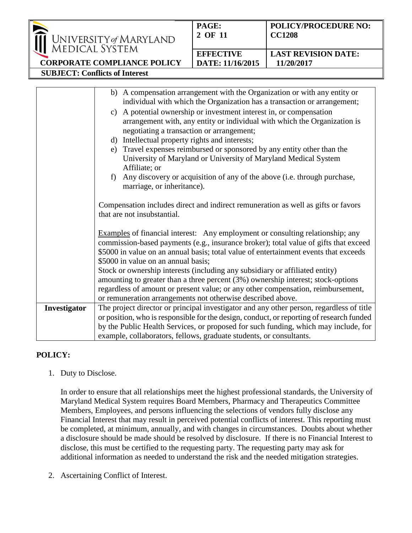|                                                                                                                                                                                               | University of Maryland<br>Medical System | PAGE:<br>2 OF 11 | <b>POLICY/PROCEDURE NO:</b><br><b>CC1208</b> |
|-----------------------------------------------------------------------------------------------------------------------------------------------------------------------------------------------|------------------------------------------|------------------|----------------------------------------------|
|                                                                                                                                                                                               |                                          | <b>EFFECTIVE</b> | <b>LAST REVISION DATE:</b>                   |
|                                                                                                                                                                                               | <b>CORPORATE COMPLIANCE POLICY</b>       | DATE: 11/16/2015 | 11/20/2017                                   |
| <b>SUBJECT: Conflicts of Interest</b>                                                                                                                                                         |                                          |                  |                                              |
|                                                                                                                                                                                               |                                          |                  |                                              |
| b) A compensation arrangement with the Organization or with any entity or<br>individual with which the Organization has a transaction or arrangement;                                         |                                          |                  |                                              |
| c) A potential ownership or investment interest in, or compensation<br>arrangement with, any entity or individual with which the Organization is<br>negotiating a transaction or arrangement; |                                          |                  |                                              |

- d) Intellectual property rights and interests;
- e) Travel expenses reimbursed or sponsored by any entity other than the University of Maryland or University of Maryland Medical System Affiliate; or
- f) Any discovery or acquisition of any of the above (i.e. through purchase, marriage, or inheritance).

Compensation includes direct and indirect remuneration as well as gifts or favors that are not insubstantial.

Examples of financial interest: Any employment or consulting relationship; any commission-based payments (e.g., insurance broker); total value of gifts that exceed \$5000 in value on an annual basis; total value of entertainment events that exceeds \$5000 in value on an annual basis; Stock or ownership interests (including any subsidiary or affiliated entity) amounting to greater than a three percent (3%) ownership interest; stock-options

regardless of amount or present value; or any other compensation, reimbursement, or remuneration arrangements not otherwise described above. **Investigator** The project director or principal investigator and any other person, regardless of title

or position, who is responsible for the design, conduct, or reporting of research funded by the Public Health Services, or proposed for such funding, which may include, for example, collaborators, fellows, graduate students, or consultants.

## **POLICY:**

1. Duty to Disclose.

In order to ensure that all relationships meet the highest professional standards, the University of Maryland Medical System requires Board Members, Pharmacy and Therapeutics Committee Members, Employees, and persons influencing the selections of vendors fully disclose any Financial Interest that may result in perceived potential conflicts of interest. This reporting must be completed, at minimum, annually, and with changes in circumstances. Doubts about whether a disclosure should be made should be resolved by disclosure. If there is no Financial Interest to disclose, this must be certified to the requesting party. The requesting party may ask for additional information as needed to understand the risk and the needed mitigation strategies.

2. Ascertaining Conflict of Interest.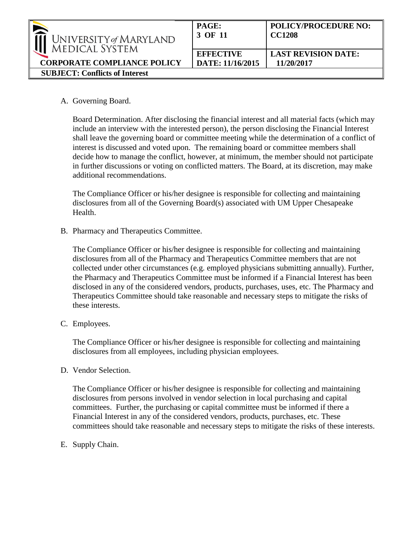| $\blacktriangleright$<br>UNIVERSITY of MARYLAND<br>MEDICAL SYSTEM | PAGE:<br>3 OF 11 | <b>POLICY/PROCEDURE NO:</b><br><b>CC1208</b> |
|-------------------------------------------------------------------|------------------|----------------------------------------------|
|                                                                   | <b>EFFECTIVE</b> | <b>LAST REVISION DATE:</b>                   |
| <b>CORPORATE COMPLIANCE POLICY</b>                                | DATE: 11/16/2015 | 11/20/2017                                   |
| <b>SUBJECT: Conflicts of Interest</b>                             |                  |                                              |

A. Governing Board.

Board Determination. After disclosing the financial interest and all material facts (which may include an interview with the interested person), the person disclosing the Financial Interest shall leave the governing board or committee meeting while the determination of a conflict of interest is discussed and voted upon. The remaining board or committee members shall decide how to manage the conflict, however, at minimum, the member should not participate in further discussions or voting on conflicted matters. The Board, at its discretion, may make additional recommendations.

The Compliance Officer or his/her designee is responsible for collecting and maintaining disclosures from all of the Governing Board(s) associated with UM Upper Chesapeake Health.

B. Pharmacy and Therapeutics Committee.

The Compliance Officer or his/her designee is responsible for collecting and maintaining disclosures from all of the Pharmacy and Therapeutics Committee members that are not collected under other circumstances (e.g. employed physicians submitting annually). Further, the Pharmacy and Therapeutics Committee must be informed if a Financial Interest has been disclosed in any of the considered vendors, products, purchases, uses, etc. The Pharmacy and Therapeutics Committee should take reasonable and necessary steps to mitigate the risks of these interests.

C. Employees.

The Compliance Officer or his/her designee is responsible for collecting and maintaining disclosures from all employees, including physician employees.

D. Vendor Selection.

The Compliance Officer or his/her designee is responsible for collecting and maintaining disclosures from persons involved in vendor selection in local purchasing and capital committees. Further, the purchasing or capital committee must be informed if there a Financial Interest in any of the considered vendors, products, purchases, etc. These committees should take reasonable and necessary steps to mitigate the risks of these interests.

E. Supply Chain.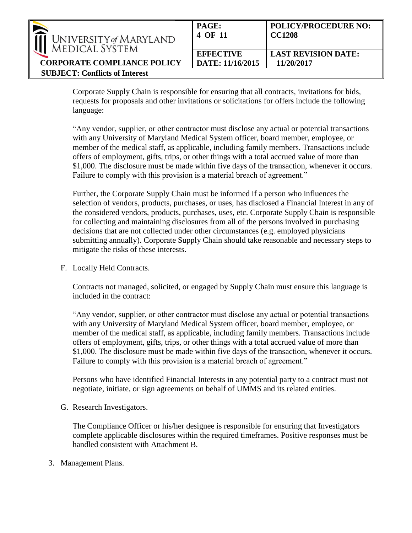| $\blacktriangleright$<br>UNIVERSITY of MARYLAND<br>MEDICAL SYSTEM | <b>PAGE:</b><br>4 OF 11 | <b>POLICY/PROCEDURE NO:</b><br><b>CC1208</b> |
|-------------------------------------------------------------------|-------------------------|----------------------------------------------|
|                                                                   | <b>EFFECTIVE</b>        | <b>LAST REVISION DATE:</b>                   |
| <b>CORPORATE COMPLIANCE POLICY</b>                                | DATE: 11/16/2015        | 11/20/2017                                   |
| <b>SUBJECT: Conflicts of Interest</b>                             |                         |                                              |

Corporate Supply Chain is responsible for ensuring that all contracts, invitations for bids, requests for proposals and other invitations or solicitations for offers include the following language:

"Any vendor, supplier, or other contractor must disclose any actual or potential transactions with any University of Maryland Medical System officer, board member, employee, or member of the medical staff, as applicable, including family members. Transactions include offers of employment, gifts, trips, or other things with a total accrued value of more than \$1,000. The disclosure must be made within five days of the transaction, whenever it occurs. Failure to comply with this provision is a material breach of agreement."

Further, the Corporate Supply Chain must be informed if a person who influences the selection of vendors, products, purchases, or uses, has disclosed a Financial Interest in any of the considered vendors, products, purchases, uses, etc. Corporate Supply Chain is responsible for collecting and maintaining disclosures from all of the persons involved in purchasing decisions that are not collected under other circumstances (e.g. employed physicians submitting annually). Corporate Supply Chain should take reasonable and necessary steps to mitigate the risks of these interests.

F. Locally Held Contracts.

Contracts not managed, solicited, or engaged by Supply Chain must ensure this language is included in the contract:

"Any vendor, supplier, or other contractor must disclose any actual or potential transactions with any University of Maryland Medical System officer, board member, employee, or member of the medical staff, as applicable, including family members. Transactions include offers of employment, gifts, trips, or other things with a total accrued value of more than \$1,000. The disclosure must be made within five days of the transaction, whenever it occurs. Failure to comply with this provision is a material breach of agreement."

Persons who have identified Financial Interests in any potential party to a contract must not negotiate, initiate, or sign agreements on behalf of UMMS and its related entities.

G. Research Investigators.

The Compliance Officer or his/her designee is responsible for ensuring that Investigators complete applicable disclosures within the required timeframes. Positive responses must be handled consistent with Attachment B.

3. Management Plans.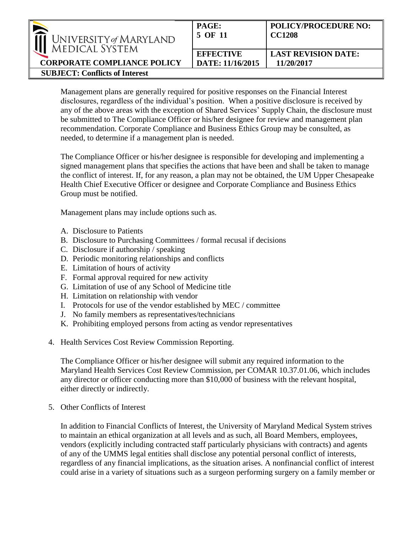| UNIVERSITY of MARYLAND |
|------------------------|
| <b>MEDICAL SYSTEM</b>  |

**CORPORATE COMPLIANCE POLICY**

**SUBJECT: Conflicts of Interest** 

| PAGE:            | <b>POLICY/PROCEDURE NO:</b> |
|------------------|-----------------------------|
| 5 OF 11          | <b>CC1208</b>               |
| <b>EFFECTIVE</b> | <b>LAST REVISION DATE:</b>  |
| DATE: 11/16/2015 | 11/20/2017                  |

Management plans are generally required for positive responses on the Financial Interest disclosures, regardless of the individual's position. When a positive disclosure is received by any of the above areas with the exception of Shared Services' Supply Chain, the disclosure must be submitted to The Compliance Officer or his/her designee for review and management plan recommendation. Corporate Compliance and Business Ethics Group may be consulted, as needed, to determine if a management plan is needed.

The Compliance Officer or his/her designee is responsible for developing and implementing a signed management plans that specifies the actions that have been and shall be taken to manage the conflict of interest. If, for any reason, a plan may not be obtained, the UM Upper Chesapeake Health Chief Executive Officer or designee and Corporate Compliance and Business Ethics Group must be notified.

Management plans may include options such as.

- A. Disclosure to Patients
- B. Disclosure to Purchasing Committees / formal recusal if decisions
- C. Disclosure if authorship / speaking
- D. Periodic monitoring relationships and conflicts
- E. Limitation of hours of activity
- F. Formal approval required for new activity
- G. Limitation of use of any School of Medicine title
- H. Limitation on relationship with vendor
- I. Protocols for use of the vendor established by MEC / committee
- J. No family members as representatives/technicians
- K. Prohibiting employed persons from acting as vendor representatives
- 4. Health Services Cost Review Commission Reporting.

The Compliance Officer or his/her designee will submit any required information to the Maryland Health Services Cost Review Commission, per COMAR 10.37.01.06, which includes any director or officer conducting more than \$10,000 of business with the relevant hospital, either directly or indirectly.

5. Other Conflicts of Interest

In addition to Financial Conflicts of Interest, the University of Maryland Medical System strives to maintain an ethical organization at all levels and as such, all Board Members, employees, vendors (explicitly including contracted staff particularly physicians with contracts) and agents of any of the UMMS legal entities shall disclose any potential personal conflict of interests, regardless of any financial implications, as the situation arises. A nonfinancial conflict of interest could arise in a variety of situations such as a surgeon performing surgery on a family member or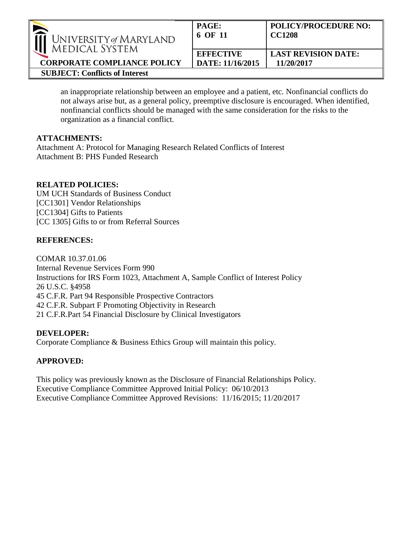

**SUBJECT: Conflicts of Interest** 

**CORPORATE COMPLIANCE POLICY**

an inappropriate relationship between an employee and a patient, etc. Nonfinancial conflicts do not always arise but, as a general policy, preemptive disclosure is encouraged. When identified, nonfinancial conflicts should be managed with the same consideration for the risks to the organization as a financial conflict.

#### **ATTACHMENTS:**

Attachment A: Protocol for Managing Research Related Conflicts of Interest Attachment B: PHS Funded Research

#### **RELATED POLICIES:**

UM UCH Standards of Business Conduct [CC1301] Vendor Relationships [CC1304] Gifts to Patients [CC 1305] Gifts to or from Referral Sources

#### **REFERENCES:**

COMAR 10.37.01.06 Internal Revenue Services Form 990 Instructions for IRS Form 1023, Attachment A, Sample Conflict of Interest Policy 26 U.S.C. §4958 45 C.F.R. Part 94 Responsible Prospective Contractors 42 C.F.R. Subpart F Promoting Objectivity in Research 21 C.F.R.Part 54 Financial Disclosure by Clinical Investigators

#### **DEVELOPER:**

Corporate Compliance & Business Ethics Group will maintain this policy.

### **APPROVED:**

This policy was previously known as the Disclosure of Financial Relationships Policy. Executive Compliance Committee Approved Initial Policy: 06/10/2013 Executive Compliance Committee Approved Revisions: 11/16/2015; 11/20/2017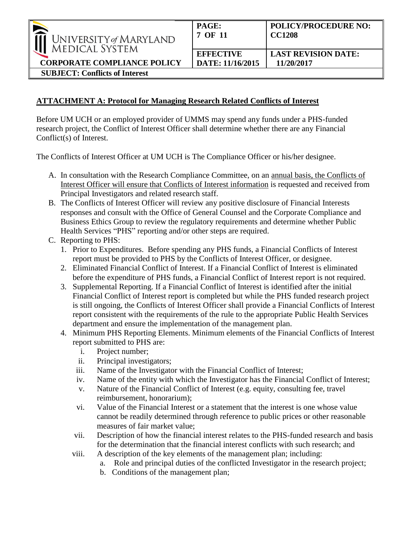| $\overline{\phantom{a}}$<br>UNIVERSITY of MARYLAND<br><b>MEDICAL SYSTEM</b> | <b>PAGE:</b><br>7 OF 11              | <b>POLICY/PROCEDURE NO:</b><br><b>CC1208</b> |
|-----------------------------------------------------------------------------|--------------------------------------|----------------------------------------------|
| <b>CORPORATE COMPLIANCE POLICY</b>                                          | <b>EFFECTIVE</b><br>DATE: 11/16/2015 | <b>LAST REVISION DATE:</b><br>11/20/2017     |

**SUBJECT: Conflicts of Interest** 

# **ATTACHMENT A: Protocol for Managing Research Related Conflicts of Interest**

Before UM UCH or an employed provider of UMMS may spend any funds under a PHS-funded research project, the Conflict of Interest Officer shall determine whether there are any Financial Conflict(s) of Interest.

The Conflicts of Interest Officer at UM UCH is The Compliance Officer or his/her designee.

- A. In consultation with the Research Compliance Committee, on an annual basis, the Conflicts of Interest Officer will ensure that Conflicts of Interest information is requested and received from Principal Investigators and related research staff.
- B. The Conflicts of Interest Officer will review any positive disclosure of Financial Interests responses and consult with the Office of General Counsel and the Corporate Compliance and Business Ethics Group to review the regulatory requirements and determine whether Public Health Services "PHS" reporting and/or other steps are required.
- C. Reporting to PHS:
	- 1. Prior to Expenditures. Before spending any PHS funds, a Financial Conflicts of Interest report must be provided to PHS by the Conflicts of Interest Officer, or designee.
	- 2. Eliminated Financial Conflict of Interest. If a Financial Conflict of Interest is eliminated before the expenditure of PHS funds, a Financial Conflict of Interest report is not required.
	- 3. Supplemental Reporting. If a Financial Conflict of Interest is identified after the initial Financial Conflict of Interest report is completed but while the PHS funded research project is still ongoing, the Conflicts of Interest Officer shall provide a Financial Conflicts of Interest report consistent with the requirements of the rule to the appropriate Public Health Services department and ensure the implementation of the management plan.
	- 4. Minimum PHS Reporting Elements. Minimum elements of the Financial Conflicts of Interest report submitted to PHS are:
		- i. Project number;
		- ii. Principal investigators;
		- iii. Name of the Investigator with the Financial Conflict of Interest;
		- iv. Name of the entity with which the Investigator has the Financial Conflict of Interest;
		- v. Nature of the Financial Conflict of Interest (e.g. equity, consulting fee, travel reimbursement, honorarium);
		- vi. Value of the Financial Interest or a statement that the interest is one whose value cannot be readily determined through reference to public prices or other reasonable measures of fair market value;
		- vii. Description of how the financial interest relates to the PHS-funded research and basis for the determination that the financial interest conflicts with such research; and
		- viii. A description of the key elements of the management plan; including:
			- a. Role and principal duties of the conflicted Investigator in the research project;
			- b. Conditions of the management plan;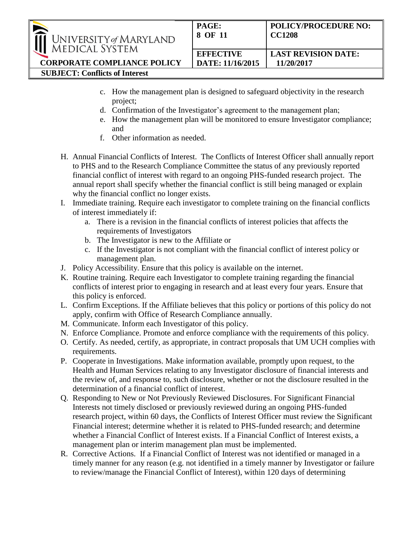| $\sim$<br>UNIVERSITY of MARYLAND<br><b>MEDICAL SYSTEM</b> | <b>PAGE:</b><br>8 OF 11 | <b>POLICY/PROCEDURE NO:</b><br><b>CC1208</b> |
|-----------------------------------------------------------|-------------------------|----------------------------------------------|
|                                                           | <b>EFFECTIVE</b>        | <b>LAST REVISION DATE:</b>                   |
| <b>CORPORATE COMPLIANCE POLICY</b>                        | DATE: 11/16/2015        | 11/20/2017                                   |
| <b>SUBJECT: Conflicts of Interest</b>                     |                         |                                              |

- c. How the management plan is designed to safeguard objectivity in the research project;
- d. Confirmation of the Investigator's agreement to the management plan;
- e. How the management plan will be monitored to ensure Investigator compliance; and
- f. Other information as needed.
- H. Annual Financial Conflicts of Interest. The Conflicts of Interest Officer shall annually report to PHS and to the Research Compliance Committee the status of any previously reported financial conflict of interest with regard to an ongoing PHS-funded research project. The annual report shall specify whether the financial conflict is still being managed or explain why the financial conflict no longer exists.
- I. Immediate training. Require each investigator to complete training on the financial conflicts of interest immediately if:
	- a. There is a revision in the financial conflicts of interest policies that affects the requirements of Investigators
	- b. The Investigator is new to the Affiliate or
	- c. If the Investigator is not compliant with the financial conflict of interest policy or management plan.
- J. Policy Accessibility. Ensure that this policy is available on the internet.
- K. Routine training. Require each Investigator to complete training regarding the financial conflicts of interest prior to engaging in research and at least every four years. Ensure that this policy is enforced.
- L. Confirm Exceptions. If the Affiliate believes that this policy or portions of this policy do not apply, confirm with Office of Research Compliance annually.
- M. Communicate. Inform each Investigator of this policy.
- N. Enforce Compliance. Promote and enforce compliance with the requirements of this policy.
- O. Certify. As needed, certify, as appropriate, in contract proposals that UM UCH complies with requirements.
- P. Cooperate in Investigations. Make information available, promptly upon request, to the Health and Human Services relating to any Investigator disclosure of financial interests and the review of, and response to, such disclosure, whether or not the disclosure resulted in the determination of a financial conflict of interest.
- Q. Responding to New or Not Previously Reviewed Disclosures. For Significant Financial Interests not timely disclosed or previously reviewed during an ongoing PHS-funded research project, within 60 days, the Conflicts of Interest Officer must review the Significant Financial interest; determine whether it is related to PHS-funded research; and determine whether a Financial Conflict of Interest exists. If a Financial Conflict of Interest exists, a management plan or interim management plan must be implemented.
- R. Corrective Actions. If a Financial Conflict of Interest was not identified or managed in a timely manner for any reason (e.g. not identified in a timely manner by Investigator or failure to review/manage the Financial Conflict of Interest), within 120 days of determining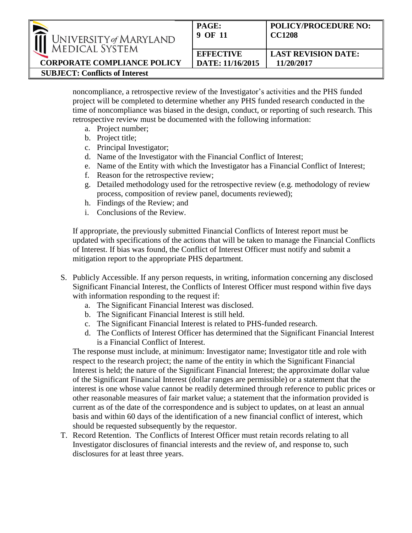

**SUBJECT: Conflicts of Interest** 

**CORPORATE COMPLIANCE POLICY**

noncompliance, a retrospective review of the Investigator's activities and the PHS funded project will be completed to determine whether any PHS funded research conducted in the time of noncompliance was biased in the design, conduct, or reporting of such research. This retrospective review must be documented with the following information:

- a. Project number;
- b. Project title;
- c. Principal Investigator;
- d. Name of the Investigator with the Financial Conflict of Interest;
- e. Name of the Entity with which the Investigator has a Financial Conflict of Interest;
- f. Reason for the retrospective review;
- g. Detailed methodology used for the retrospective review (e.g. methodology of review process, composition of review panel, documents reviewed);
- h. Findings of the Review; and
- i. Conclusions of the Review.

If appropriate, the previously submitted Financial Conflicts of Interest report must be updated with specifications of the actions that will be taken to manage the Financial Conflicts of Interest. If bias was found, the Conflict of Interest Officer must notify and submit a mitigation report to the appropriate PHS department.

- S. Publicly Accessible. If any person requests, in writing, information concerning any disclosed Significant Financial Interest, the Conflicts of Interest Officer must respond within five days with information responding to the request if:
	- a. The Significant Financial Interest was disclosed.
	- b. The Significant Financial Interest is still held.
	- c. The Significant Financial Interest is related to PHS-funded research.
	- d. The Conflicts of Interest Officer has determined that the Significant Financial Interest is a Financial Conflict of Interest.

The response must include, at minimum: Investigator name; Investigator title and role with respect to the research project; the name of the entity in which the Significant Financial Interest is held; the nature of the Significant Financial Interest; the approximate dollar value of the Significant Financial Interest (dollar ranges are permissible) or a statement that the interest is one whose value cannot be readily determined through reference to public prices or other reasonable measures of fair market value; a statement that the information provided is current as of the date of the correspondence and is subject to updates, on at least an annual basis and within 60 days of the identification of a new financial conflict of interest, which should be requested subsequently by the requestor.

T. Record Retention. The Conflicts of Interest Officer must retain records relating to all Investigator disclosures of financial interests and the review of, and response to, such disclosures for at least three years.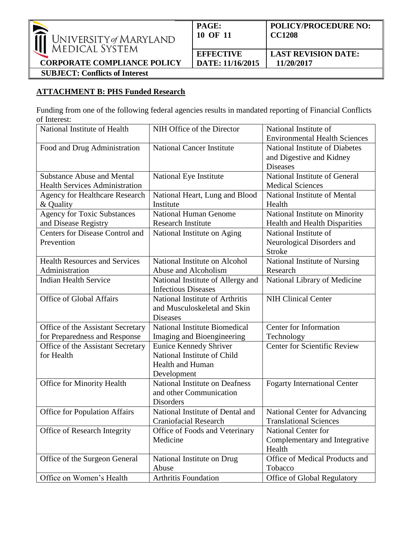

**CORPORATE COMPLIANCE POLICY SUBJECT: Conflicts of Interest** 

## **ATTACHMENT B: PHS Funded Research**

Funding from one of the following federal agencies results in mandated reporting of Financial Conflicts of Interest:

| National Institute of Health          | NIH Office of the Director        | National Institute of                |
|---------------------------------------|-----------------------------------|--------------------------------------|
|                                       |                                   | <b>Environmental Health Sciences</b> |
| Food and Drug Administration          | <b>National Cancer Institute</b>  | National Institute of Diabetes       |
|                                       |                                   | and Digestive and Kidney             |
|                                       |                                   | <b>Diseases</b>                      |
| <b>Substance Abuse and Mental</b>     | National Eye Institute            | National Institute of General        |
| <b>Health Services Administration</b> |                                   | <b>Medical Sciences</b>              |
| Agency for Healthcare Research        | National Heart, Lung and Blood    | National Institute of Mental         |
| & Quality                             | Institute                         | Health                               |
| <b>Agency for Toxic Substances</b>    | <b>National Human Genome</b>      | National Institute on Minority       |
| and Disease Registry                  | <b>Research Institute</b>         | Health and Health Disparities        |
| Centers for Disease Control and       | National Institute on Aging       | National Institute of                |
| Prevention                            |                                   | Neurological Disorders and           |
|                                       |                                   | <b>Stroke</b>                        |
| <b>Health Resources and Services</b>  | National Institute on Alcohol     | National Institute of Nursing        |
| Administration                        | Abuse and Alcoholism              | Research                             |
| <b>Indian Health Service</b>          | National Institute of Allergy and | National Library of Medicine         |
|                                       | <b>Infectious Diseases</b>        |                                      |
| Office of Global Affairs              | National Institute of Arthritis   | <b>NIH Clinical Center</b>           |
|                                       | and Musculoskeletal and Skin      |                                      |
|                                       | <b>Diseases</b>                   |                                      |
| Office of the Assistant Secretary     | National Institute Biomedical     | Center for Information               |
| for Preparedness and Response         | Imaging and Bioengineering        | Technology                           |
| Office of the Assistant Secretary     | <b>Eunice Kennedy Shriver</b>     | <b>Center for Scientific Review</b>  |
| for Health                            | National Institute of Child       |                                      |
|                                       | <b>Health and Human</b>           |                                      |
|                                       | Development                       |                                      |
| Office for Minority Health            | National Institute on Deafness    | <b>Fogarty International Center</b>  |
|                                       | and other Communication           |                                      |
|                                       | <b>Disorders</b>                  |                                      |
| <b>Office for Population Affairs</b>  | National Institute of Dental and  | National Center for Advancing        |
|                                       | <b>Craniofacial Research</b>      | <b>Translational Sciences</b>        |
| Office of Research Integrity          | Office of Foods and Veterinary    | National Center for                  |
|                                       | Medicine                          | Complementary and Integrative        |
|                                       |                                   | Health                               |
| Office of the Surgeon General         | National Institute on Drug        | Office of Medical Products and       |
|                                       | Abuse                             | Tobacco                              |
| Office on Women's Health              | Arthritis Foundation              | Office of Global Regulatory          |